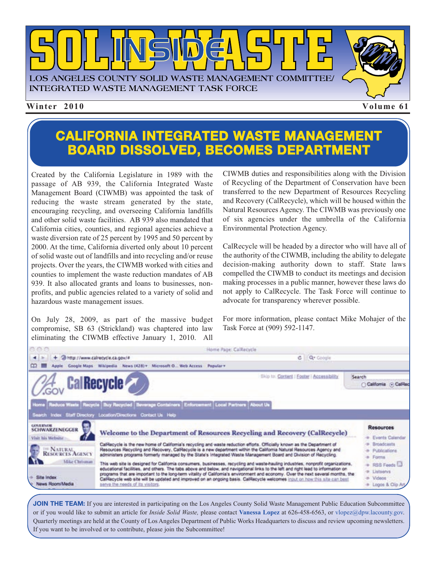

#### **CALIFORNIA INTEGRATED WASTE MANAGEMENT BOARD DISSOLVED, BECOMES DEPARTMENT**

Created by the California Legislature in 1989 with the passage of AB 939, the California Integrated Waste Management Board (CIWMB) was appointed the task of reducing the waste stream generated by the state, encouraging recycling, and overseeing California landfills and other solid waste facilities. AB 939 also mandated that California cities, counties, and regional agencies achieve a waste diversion rate of 25 percent by 1995 and 50 percent by 2000. At the time, California diverted only about 10 percent of solid waste out of landfills and into recycling and/or reuse projects. Over the years, the CIWMB worked with cities and counties to implement the waste reduction mandates of AB 939. It also allocated grants and loans to businesses, nonprofits, and public agencies related to a variety of solid and hazardous waste management issues.

On July 28, 2009, as part of the massive budget compromise, SB 63 (Strickland) was chaptered into law eliminating the CIWMB effective January 1, 2010. All CIWMB duties and responsibilities along with the Division of Recycling of the Department of Conservation have been transferred to the new Department of Resources Recycling and Recovery (CalRecycle), which will be housed within the Natural Resources Agency. The CIWMB was previously one of six agencies under the umbrella of the California Environmental Protection Agency.

CalRecycle will be headed by a director who will have all of the authority of the CIWMB, including the ability to delegate decision-making authority down to staff. State laws compelled the CIWMB to conduct its meetings and decision making processes in a public manner, however these laws do not apply to CalRecycle. The Task Force will continue to advocate for transparency wherever possible.

For more information, please contact Mike Mohajer of the Task Force at (909) 592-1147.

| aea                                                            |                                                                                                                                                                                                                                                                                                                                                                                                                                                                                                                                                                            | Home Page: Calikecycle                                                                                                                                                                                                                                                                                                                                              |                                                      |  |
|----------------------------------------------------------------|----------------------------------------------------------------------------------------------------------------------------------------------------------------------------------------------------------------------------------------------------------------------------------------------------------------------------------------------------------------------------------------------------------------------------------------------------------------------------------------------------------------------------------------------------------------------------|---------------------------------------------------------------------------------------------------------------------------------------------------------------------------------------------------------------------------------------------------------------------------------------------------------------------------------------------------------------------|------------------------------------------------------|--|
| + 2 http://www.calrecycle.ca.gov/#<br>■上所                      |                                                                                                                                                                                                                                                                                                                                                                                                                                                                                                                                                                            | C Qr Coople                                                                                                                                                                                                                                                                                                                                                         |                                                      |  |
| ∞<br>丗                                                         | Coogle Maps Wikipedia News (428) . Microsoft O., Web Access Popular .                                                                                                                                                                                                                                                                                                                                                                                                                                                                                                      |                                                                                                                                                                                                                                                                                                                                                                     |                                                      |  |
|                                                                | <b>CalRecycle</b>                                                                                                                                                                                                                                                                                                                                                                                                                                                                                                                                                          | Elkip to: Contant   Ecober   Acciesability                                                                                                                                                                                                                                                                                                                          | Search<br>California (4) Califoc                     |  |
|                                                                | Home Reduce Waste Recycle Buy Recycled Beverage Containers Enforcement Local Partners About Us<br>Search Index Staff Directory Location/Directions Contact Us Help                                                                                                                                                                                                                                                                                                                                                                                                         |                                                                                                                                                                                                                                                                                                                                                                     |                                                      |  |
| <b>GIRVERNOM</b><br><b>SCHWARZENEGGER</b><br>Visit his Website |                                                                                                                                                                                                                                                                                                                                                                                                                                                                                                                                                                            | Welcome to the Department of Resources Recycling and Recovery (CalRecycle)                                                                                                                                                                                                                                                                                          | <b>Resources</b><br>Events Calendar                  |  |
| <b>NATURAL</b><br>RESOURCES AGENCY                             |                                                                                                                                                                                                                                                                                                                                                                                                                                                                                                                                                                            | CalRecycle is the new home of California's recycling and waste reduction efforts. Officially known as the Department of<br>Resources Recycling and Recovery, CalRecycle is a new department within the California Natural Resources Agency and<br>administers programs formerly managed by the State's integrated Waste Management Board and Division of Recycling. | Broadcasts<br>Publications<br>Forms                  |  |
| Mike Chrisman<br>Site Index<br>News Room/Media                 | This web site is designed for California consumers, businesses, recycling and waste-hauling industries, nonprofit organizations,<br>educational facilities, and others. The tabs above and below, and navigational links to the left and right lead to information on<br>programs that are important to the long-term vitality of California's environment and economy. Over the next several months, the<br>CalRecycle web site will be updated and improved on an ongoing basis. CalRecycle welcomes input on how this site can best<br>serve the needs of its visitors. |                                                                                                                                                                                                                                                                                                                                                                     | RSS Feeds<br>Listagevs<br>Videos<br>Logos & Clip Art |  |

**JOIN THE TEAM:** If you are interested in participating on the Los Angeles County Solid Waste Management Public Education Subcommittee or if you would like to submit an article for *Inside Solid Waste,* please contact **Vanessa Lopez** at 626-458-6563, or vlopez@dpw.lacounty.gov. Quarterly meetings are held at the County of Los Angeles Department of Public Works Headquarters to discuss an[d review upcoming newsletters.](mailto:\\vlopez@dpw.lacounty.gov) If you want to be involved or to contribute, please join the Subcommittee!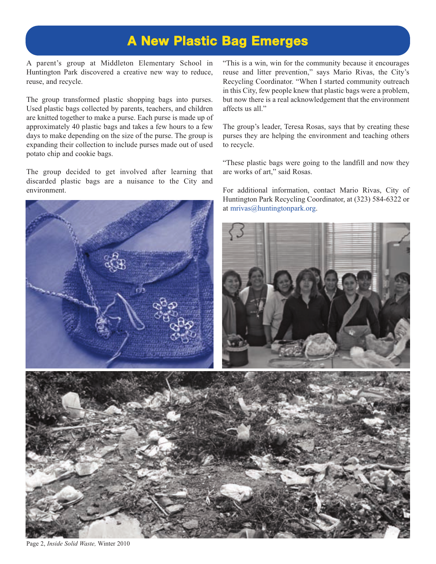#### **A New Plastic Bag Emerges**

A parent's group at Middleton Elementary School in Huntington Park discovered a creative new way to reduce, reuse, and recycle.

The group transformed plastic shopping bags into purses. Used plastic bags collected by parents, teachers, and children are knitted together to make a purse. Each purse is made up of approximately 40 plastic bags and takes a few hours to a few days to make depending on the size of the purse. The group is expanding their collection to include purses made out of used potato chip and cookie bags.

The group decided to get involved after learning that discarded plastic bags are a nuisance to the City and environment.



"This is a win, win for the community because it encourages reuse and litter prevention," says Mario Rivas, the City's Recycling Coordinator. "When I started community outreach in this City, few people knew that plastic bags were a problem, but now there is a real acknowledgement that the environment affects us all."

The group's leader, Teresa Rosas, says that by creating these purses they are helping the environment and teaching others to recycle.

"These plastic bags were going to the landfill and now they are works of art," said Rosas.

For additional information, contact Mario Rivas, City of Huntington Park Recycling Coordinator, at (323) 584-6322 or [at mrivas@huntingtonpark.org.](mailto:\\mrivas@huntingtonpark.org) 





Page 2, *Inside Solid Waste,* Winter 2010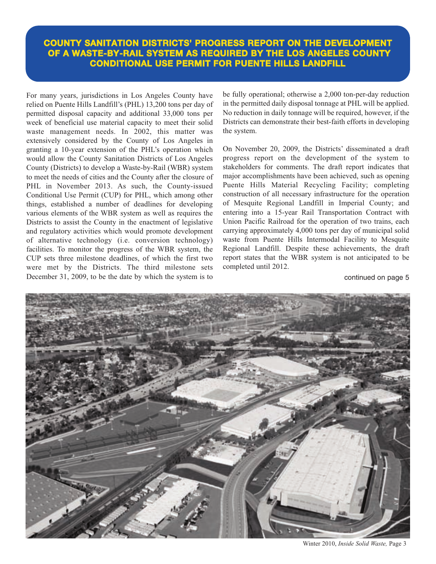#### **COUNTY SANITATION DISTRICTS' PROGRESS REPORT ON THE DEVELOPMENT OF A WASTE-BY-RAIL SYSTEM AS REQUIRED BY THE LOS ANGELES COUNTY CONDITIONAL USE PERMIT FOR PUENTE HILLS LANDFILL**

For many years, jurisdictions in Los Angeles County have relied on Puente Hills Landfill's (PHL) 13,200 tons per day of permitted disposal capacity and additional 33,000 tons per week of beneficial use material capacity to meet their solid waste management needs. In 2002, this matter was extensively considered by the County of Los Angeles in granting a 10-year extension of the PHL's operation which would allow the County Sanitation Districts of Los Angeles County (Districts) to develop a Waste-by-Rail (WBR) system to meet the needs of cities and the County after the closure of PHL in November 2013. As such, the County-issued Conditional Use Permit (CUP) for PHL, which among other things, established a number of deadlines for developing various elements of the WBR system as well as requires the Districts to assist the County in the enactment of legislative and regulatory activities which would promote development of alternative technology (i.e. conversion technology) facilities. To monitor the progress of the WBR system, the CUP sets three milestone deadlines, of which the first two were met by the Districts. The third milestone sets December 31, 2009, to be the date by which the system is to be fully operational; otherwise a 2,000 ton-per-day reduction in the permitted daily disposal tonnage at PHL will be applied. No reduction in daily tonnage will be required, however, if the Districts can demonstrate their best-faith efforts in developing the system.

On November 20, 2009, the Districts' disseminated a draft progress report on the development of the system to stakeholders for comments. The draft report indicates that major accomplishments have been achieved, such as opening Puente Hills Material Recycling Facility; completing construction of all necessary infrastructure for the operation of Mesquite Regional Landfill in Imperial County; and entering into a 15-year Rail Transportation Contract with Union Pacific Railroad for the operation of two trains, each carrying approximately 4,000 tons per day of municipal solid waste from Puente Hills Intermodal Facility to Mesquite Regional Landfill. Despite these achievements, the draft report states that the WBR system is not anticipated to be completed until 2012.

continued on page 5



Winter 2010, *Inside Solid Waste,* Page 3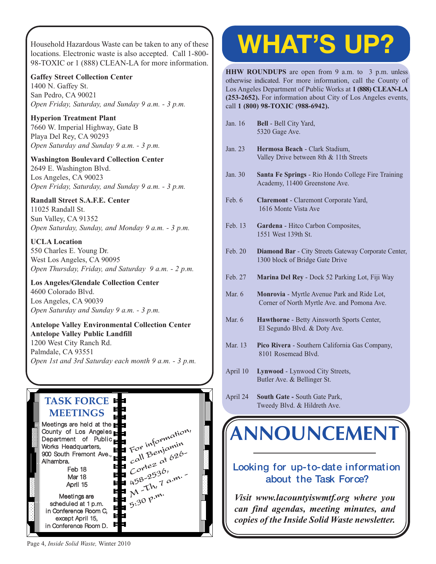Household Hazardous Waste can be taken to any of these locations. Electronic waste is also accepted. Call 1-800- [98-TOXIC or 1 \(888\) CLEAN-LA for more information.](http://www.lacitysan.org/solid_resources/special/hhw/safe_centers/index.htm)

**Gaffey Street Collection Center** 1400 N. Gaffey St. San Pedro, CA 90021 *Open Friday, Saturday, and Sunday 9 a.m. - 3 p.m.*

**Hyperion Treatment Plant** 7660 W. Imperial Highway, Gate B Playa Del Rey, CA 90293 *Open Saturday and Sunday 9 a.m. - 3 p.m.*

**Washington Boulevard Collection Center** 2649 E. Washington Blvd. Los Angeles, CA 90023 *Open Friday, Saturday, and Sunday 9 a.m. - 3 p.m.*

#### **Randall Street S.A.F.E. Center**

11025 Randall St. Sun Valley, CA 91352 *Open Saturday, Sunday, and Monday 9 a.m. - 3 p.m.*

**UCLA Location** 550 Charles E. Young Dr. West Los Angeles, CA 90095 *Open Thursday, Friday, and Saturday 9 a.m. - 2 p.m.*

**Los Angeles/Glendale Collection Center** 4600 Colorado Blvd. Los Angeles, CA 90039 *Open Saturday and Sunday 9 a.m. - 3 p.m.*

**Antelope Valley Environmental Collection Center Antelope Valley Public Landfill** 1200 West City Ranch Rd. Palmdale, CA 93551 *[Open 1st and 3rd Saturday each month 9 a.m. - 3 p.m.](http://ladpw.org/epd/avecc/index.cfm)*

#### **TASK FORCE MEETINGS**



# **WHAT'S UP?**

**HHW ROUNDUPS** are open from 9 a.m. to 3 p.m. unless otherwise indicated. For more information, call the County of Los Angeles Department of Public Works at **1 (888) CLEAN-LA (253-2652).** For information about City of Los Angeles events, call **1 (800) 98-TOXIC (988-6942).**

- Jan. 16 **Bell** Bell City Yard, 5320 Gage Ave. Jan. 23 **Hermosa Beach** - Clark Stadium, Valley Drive between 8th & 11th Streets Jan. 30 **Santa Fe Springs** - Rio Hondo College Fire Training Academy, 11400 Greenstone Ave. Feb. 6 **Claremont** - Claremont Corporate Yard, 1616 Monte Vista Ave Feb. 13 **Gardena** - Hitco Carbon Composites, 1551 West 139th St. Feb. 20 **Diamond Bar** - City Streets Gateway Corporate Center, 1300 block of Bridge Gate Drive Feb. 27 **Marina Del Rey** - Dock 52 Parking Lot, Fiji Way Mar. 6 **Monrovia** - Myrtle Avenue Park and Ride Lot, Corner of North Myrtle Ave. and Pomona Ave. Mar. 6 **Hawthorne** - Betty Ainsworth Sports Center, El Segundo Blvd. & Doty Ave. Mar. 13 **Pico Rivera** - Southern California Gas Company, 8101 Rosemead Blvd.
	- April 10 **Lynwood** Lynwood City Streets, Butler Ave. & Bellinger St.
	- April 24 **South Gate** South Gate Park, Tweedy Blvd. & Hildreth Ave.

## **[ANNOUNCEMENT](http://dpw.lacounty.gov/epd/tf/)**

#### **Looking for up-to-date information about the Task Force?**

*Visit www.lacountyiswmtf.org where you can find agendas, meeting minutes, and copies of the Inside Solid Waste newsletter.*

Page 4, *Inside Solid Waste,* Winter 2010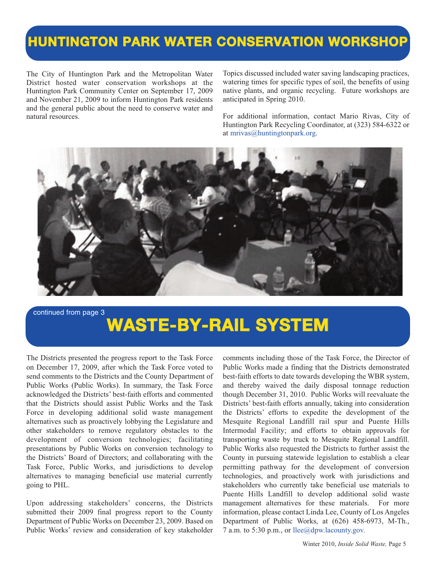#### **HUNTINGTON PARK WATER CONSERVATION WORKSHOP**

The City of Huntington Park and the Metropolitan Water District hosted water conservation workshops at the Huntington Park Community Center on September 17, 2009 and November 21, 2009 to inform Huntington Park residents and the general public about the need to conserve water and natural resources.

Topics discussed included water saving landscaping practices, watering times for specific types of soil, the benefits of using native plants, and organic recycling. Future workshops are anticipated in Spring 2010.

For additional information, contact Mario Rivas, City of Huntington Park Recycling Coordinator, at (323) 584-6322 or at [mrivas@huntingtonpark.org.](mailto:\\mrivas@huntingtonpark.org)



#### continued from page 3

## **WASTE-BY-RAIL SYSTEM**

The Districts presented the progress report to the Task Force on December 17, 2009, after which the Task Force voted to send comments to the Districts and the County Department of Public Works (Public Works). In summary, the Task Force acknowledged the Districts' best-faith efforts and commented that the Districts should assist Public Works and the Task Force in developing additional solid waste management alternatives such as proactively lobbying the Legislature and other stakeholders to remove regulatory obstacles to the development of conversion technologies; facilitating presentations by Public Works on conversion technology to the Districts' Board of Directors; and collaborating with the Task Force, Public Works, and jurisdictions to develop alternatives to managing beneficial use material currently going to PHL.

Upon addressing stakeholders' concerns, the Districts submitted their 2009 final progress report to the County Department of Public Works on December 23, 2009. Based on Public Works' review and consideration of key stakeholder comments including those of the Task Force, the Director of Public Works made a finding that the Districts demonstrated best-faith efforts to date towards developing the WBR system, and thereby waived the daily disposal tonnage reduction though December 31, 2010. Public Works will reevaluate the Districts' best-faith efforts annually, taking into consideration the Districts' efforts to expedite the development of the Mesquite Regional Landfill rail spur and Puente Hills Intermodal Facility; and efforts to obtain approvals for transporting waste by truck to Mesquite Regional Landfill. Public Works also requested the Districts to further assist the County in pursuing statewide legislation to establish a clear permitting pathway for the development of conversion technologies, and proactively work with jurisdictions and stakeholders who currently take beneficial use materials to Puente Hills Landfill to develop additional solid waste management alternatives for these materials. For more information, please contact Linda Lee, County of Los Angeles Department of Public Works, at (626) 458-6973, M-Th., 7 a.m. to 5:30 p.m., or [llee@dpw.lacounty.gov.](mailto:\\llee@dpw.lacounty.gov.)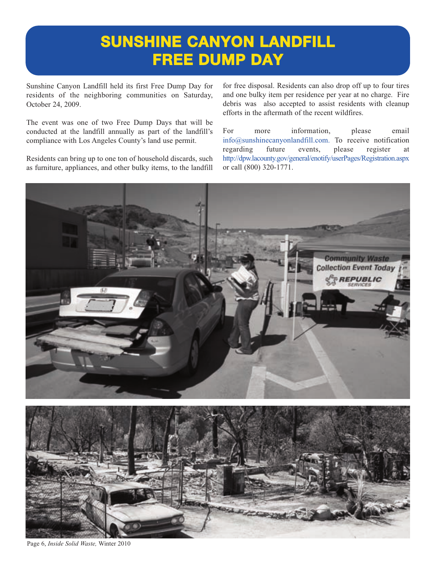### **SUNSHINE CANYON LANDFILL FREE DUMP DAY**

Sunshine Canyon Landfill held its first Free Dump Day for residents of the neighboring communities on Saturday, October 24, 2009.

The event was one of two Free Dump Days that will be conducted at the landfill annually as part of the landfill's compliance with Los Angeles County's land use permit.

Residents can bring up to one ton of household discards, such as furniture, appliances, and other bulky items, to the landfill for free disposal. Residents can also drop off up to four tires and one bulky item per residence per year at no charge. Fire debris was also accepted to assist residents with cleanup efforts in the aftermath of the recent wildfires.

For more information, please email [info@sunshinecanyonlandfill.com.](mailto:\\info@sunshinecanyonlandfill.com) To receive notification regarding future events, please register at <http://dpw.lacounty.gov/general/enotify/userPages/Registration.aspx> or call (800) 320-1771.



Page 6, *Inside Solid Waste,* Winter 2010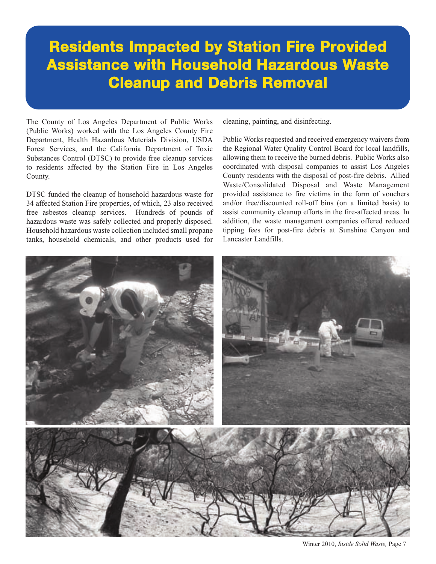### **Residents Impacted by Station Fire Provided Assistance with Household Hazardous Waste Cleanup and Debris Removal**

The County of Los Angeles Department of Public Works (Public Works) worked with the Los Angeles County Fire Department, Health Hazardous Materials Division, USDA Forest Services, and the California Department of Toxic Substances Control (DTSC) to provide free cleanup services to residents affected by the Station Fire in Los Angeles County.

DTSC funded the cleanup of household hazardous waste for 34 affected Station Fire properties, of which, 23 also received free asbestos cleanup services. Hundreds of pounds of hazardous waste was safely collected and properly disposed. Household hazardous waste collection included small propane tanks, household chemicals, and other products used for cleaning, painting, and disinfecting.

Public Works requested and received emergency waivers from the Regional Water Quality Control Board for local landfills, allowing them to receive the burned debris. Public Works also coordinated with disposal companies to assist Los Angeles County residents with the disposal of post-fire debris. Allied Waste/Consolidated Disposal and Waste Management provided assistance to fire victims in the form of vouchers and/or free/discounted roll-off bins (on a limited basis) to assist community cleanup efforts in the fire-affected areas. In addition, the waste management companies offered reduced tipping fees for post-fire debris at Sunshine Canyon and Lancaster Landfills.



Winter 2010, *Inside Solid Waste,* Page 7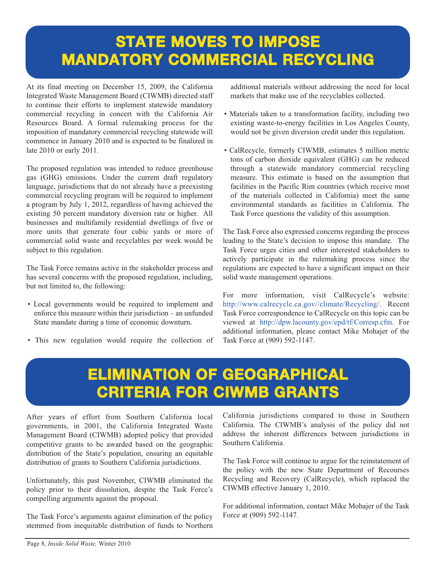### **STATE MOVES TO IMPOSE MANDATORY COMMERCIAL RECYCLING**

At its final meeting on December 15, 2009, the California Integrated Waste Management Board (CIWMB) directed staff to continue their efforts to implement statewide mandatory commercial recycling in concert with the California Air Resources Board. A formal rulemaking process for the imposition of mandatory commercial recycling statewide will commence in January 2010 and is expected to be finalized in late 2010 or early 2011.

The proposed regulation was intended to reduce greenhouse gas (GHG) emissions. Under the current draft regulatory language, jurisdictions that do not already have a preexisting commercial recycling program will be required to implement a program by July 1, 2012, regardless of having achieved the existing 50 percent mandatory diversion rate or higher. All businesses and multifamily residential dwellings of five or more units that generate four cubic yards or more of commercial solid waste and recyclables per week would be subject to this regulation.

The Task Force remains active in the stakeholder process and has several concerns with the proposed regulation, including, but not limited to, the following:

- Local governments would be required to implement and enforce this measure within their jurisdiction – an unfunded State mandate during a time of economic downturn.
- This new regulation would require the collection of

additional materials without addressing the need for local markets that make use of the recyclables collected.

- Materials taken to a transformation facility, including two existing waste-to-energy facilities in Los Angeles County, would not be given diversion credit under this regulation.
- CalRecycle, formerly CIWMB, estimates 5 million metric tons of carbon dioxide equivalent (GHG) can be reduced through a statewide mandatory commercial recycling measure. This estimate is based on the assumption that facilities in the Pacific Rim countries (which receive most of the materials collected in California) meet the same environmental standards as facilities in California. The Task Force questions the validity of this assumption.

The Task Force also expressed concerns regarding the process leading to the State's decision to impose this mandate. The Task Force urges cities and other interested stakeholders to actively participate in the rulemaking process since the regulations are expected to have a significant impact on their solid waste management operations.

For more information, visit CalRecycle's website: [http://www.calrecycle.ca.gov//climate/Recycling/.](http://www.calrecycle.ca.gov//climate/Recycling/) Recent Task Force correspondence to CalRecycle on this topic can be viewed at [http://dpw.lacounty.gov/epd/tf/Corresp.cfm.](http://dpw.lacounty.gov/epd/tf/Corresp.cfm) For additional information, please contact Mike Mohajer of the Task Force at (909) 592-1147.

### **ELIMINATION OF GEOGRAPHICAL CRITERIA FOR CIWMB GRANTS**

After years of effort from Southern California local governments, in 2001, the California Integrated Waste Management Board (CIWMB) adopted policy that provided competitive grants to be awarded based on the geographic distribution of the State's population, ensuring an equitable distribution of grants to Southern California jurisdictions.

Unfortunately, this past November, CIWMB eliminated the policy prior to their dissolution, despite the Task Force's compelling arguments against the proposal.

The Task Force's arguments against elimination of the policy stemmed from inequitable distribution of funds to Northern California jurisdictions compared to those in Southern California. The CIWMB's analysis of the policy did not address the inherent differences between jurisdictions in Southern California.

The Task Force will continue to argue for the reinstatement of the policy with the new State Department of Recourses Recycling and Recovery (CalRecycle), which replaced the CIWMB effective January 1, 2010.

For additional information, contact Mike Mohajer of the Task Force at (909) 592-1147.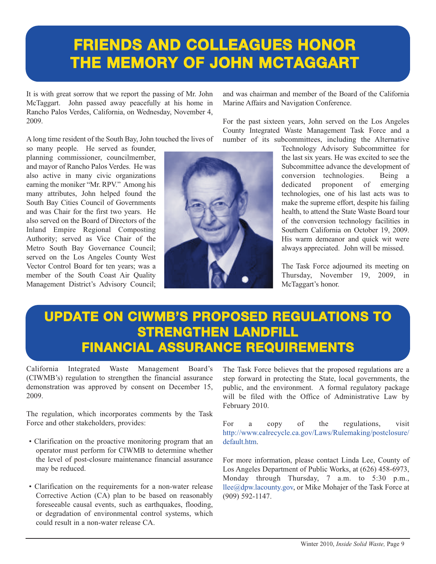### **FRIENDS AND COLLEAGUES HONOR THE MEMORY OF JOHN MCTAGGART**

It is with great sorrow that we report the passing of Mr. John McTaggart. John passed away peacefully at his home in Rancho Palos Verdes, California, on Wednesday, November 4, 2009.

A long time resident of the South Bay, John touched the lives of

so many people. He served as founder, planning commissioner, councilmember, and mayor of Rancho Palos Verdes. He was also active in many civic organizations earning the moniker "Mr. RPV." Among his many attributes, John helped found the South Bay Cities Council of Governments and was Chair for the first two years. He also served on the Board of Directors of the Inland Empire Regional Composting Authority; served as Vice Chair of the Metro South Bay Governance Council; served on the Los Angeles County West Vector Control Board for ten years; was a member of the South Coast Air Quality Management District's Advisory Council;



and was chairman and member of the Board of the California Marine Affairs and Navigation Conference.

For the past sixteen years, John served on the Los Angeles County Integrated Waste Management Task Force and a number of its subcommittees, including the Alternative

> Technology Advisory Subcommittee for the last six years. He was excited to see the Subcommittee advance the development of conversion technologies. Being a dedicated proponent of emerging technologies, one of his last acts was to make the supreme effort, despite his failing health, to attend the State Waste Board tour of the conversion technology facilities in Southern California on October 19, 2009. His warm demeanor and quick wit were always appreciated. John will be missed.

> The Task Force adjourned its meeting on Thursday, November 19, 2009, in McTaggart's honor.

#### **UPDATE ON CIWMB'S PROPOSED REGULATIONS TO STRENGTHEN LANDFILL FINANCIAL ASSURANCE REQUIREMENTS**

California Integrated Waste Management Board's (CIWMB's) regulation to strengthen the financial assurance demonstration was approved by consent on December 15, 2009.

The regulation, which incorporates comments by the Task Force and other stakeholders, provides:

- Clarification on the proactive monitoring program that an operator must perform for CIWMB to determine whether the level of post-closure maintenance financial assurance may be reduced.
- Clarification on the requirements for a non-water release Corrective Action (CA) plan to be based on reasonably foreseeable causal events, such as earthquakes, flooding, or degradation of environmental control systems, which could result in a non-water release CA.

The Task Force believes that the proposed regulations are a step forward in protecting the State, local governments, the public, and the environment. A formal regulatory package will be filed with the Office of Administrative Law by February 2010.

[For a copy of the regulations, visit](http://www.calrecycle.ca.gov/Laws/Rulemaking/postclosure/) http://www.calrecycle.ca.gov/Laws/Rulemaking/postclosure/ default.htm.

For more information, please contact Linda Lee, County of Los Angeles Department of Public Works, at (626) 458-6973, Monday through Thursday, 7 a.m. to 5:30 p.m., [llee@dpw.lacounty.gov, or M](mailto:\\llee@dpw.lacounty.gov)ike Mohajer of the Task Force at (909) 592-1147.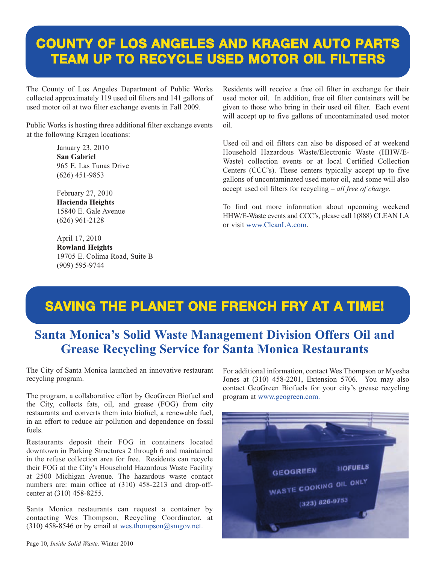#### **COUNTY OF LOS ANGELES AND KRAGEN AUTO PARTS TEAM UP TO RECYCLE USED MOTOR OIL FILTERS**

The County of Los Angeles Department of Public Works collected approximately 119 used oil filters and 141 gallons of used motor oil at two filter exchange events in Fall 2009.

Public Works is hosting three additional filter exchange events at the following Kragen locations:

> January 23, 2010 **San Gabriel** 965 E. Las Tunas Drive (626) 451-9853

February 27, 2010 **Hacienda Heights** 15840 E. Gale Avenue (626) 961-2128

April 17, 2010 **Rowland Heights** 19705 E. Colima Road, Suite B (909) 595-9744

Residents will receive a free oil filter in exchange for their used motor oil. In addition, free oil filter containers will be given to those who bring in their used oil filter. Each event will accept up to five gallons of uncontaminated used motor oil.

Used oil and oil filters can also be disposed of at weekend Household Hazardous Waste/Electronic Waste (HHW/E-Waste) collection events or at local Certified Collection Centers (CCC's). These centers typically accept up to five gallons of uncontaminated used motor oil, and some will also accept used oil filters for recycling – *all free of charge.*

To find out more information about upcoming weekend HHW/E-Waste events and CCC's, please call 1(888) CLEAN LA [or visit www.CleanLA.com.](http://dpw.lacounty.gov/epd/cleanla/default.html)

### **SAVING THE PLANET ONE FRENCH FRY AT A TIME!**

#### **Santa Monica's Solid Waste Management Division Offers Oil and Grease Recycling Service for Santa Monica Restaurants**

The City of Santa Monica launched an innovative restaurant recycling program.

The program, a collaborative effort by GeoGreen Biofuel and the City, collects fats, oil, and grease (FOG) from city restaurants and converts them into biofuel, a renewable fuel, in an effort to reduce air pollution and dependence on fossil fuels.

Restaurants deposit their FOG in containers located downtown in Parking Structures 2 through 6 and maintained in the refuse collection area for free. Residents can recycle their FOG at the City's Household Hazardous Waste Facility at 2500 Michigan Avenue. The hazardous waste contact numbers are: main office at (310) 458-2213 and drop-offcenter at (310) 458-8255.

Santa Monica restaurants can request a container by contacting Wes Thompson, Recycling Coordinator, at (310) 458-8546 or by email at wes.thompson@smgov.net.

For additional information, contact Wes Thompson or Myesha Jones at (310) 458-2201, Extension 5706. You may also contact GeoGreen Biofuels for your city's grease recycling program at<www.geogreen.com>.

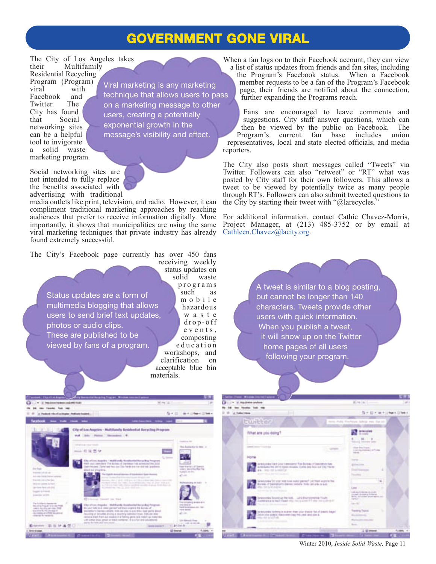#### **GOVERNMENT GONE VIRAL**

The City of Los Angeles takes<br>their Multifamily Multifamily

Residential Recycling Program (Program) viral with Facebook and<br>Twitter. The Twitter. City has found that Social networking sites can be a helpful tool to invigorate a solid waste marketing program.

Viral marketing is any marketing technique that allows users to pass on a marketing message to other users, creating a potentially exponential growth in the message's visibility and effect.

Social networking sites are not intended to fully replace the benefits associated with advertising with traditional

media outlets like print, television, and radio. However, it can compliment traditional marketing approaches by reaching audiences that prefer to receive information digitally. More importantly, it shows that municipalities are using the same viral marketing techniques that private industry has already found extremely successful.

The City's Facebook page currently has over 450 fans

Status updates are a form of multimedia blogging that allows users to send brief text updates, photos or audio clips. These are published to be viewed by fans of a program.

receiving weekly status updates on<br>solid waste waste p r o g r a m s such as m o b i l e hazardous w a s t e d r o p - o ff e v e n t s , composting e d u c a t i o n workshops, and clarification on acceptable blue bin materials.

When a fan logs on to their Facebook account, they can view a list of status updates from friends and fan sites, including the Program's Facebook status. When a Facebook member requests to be a fan of the Program's Facebook page, their friends are notified about the connection, further expanding the Programs reach.

Fans are encouraged to leave comments and suggestions. City staff answer questions, which can then be viewed by the public on Facebook. The Program's current fan base includes union representatives, local and state elected officials, and media reporters.

The City also posts short messages called "Tweets" via Twitter. Followers can also "retweet" or "RT" what was posted by City staff for their own followers. This allows a tweet to be viewed by potentially twice as many people through RT's. Followers can also submit tweeted questions to the City by starting their tweet with " $@$ larecycles."

For additional information, contact Cathie Chavez-Morris, Project Manager, at (213) 485-3752 or by email at [Cathleen.Chavez@lacity.org.](mailto:\\Cathleen.Chavez@lacity.org) 

> A tweet is similar to a blog posting, but cannot be longer than 140 characters. Tweets provide other users with quick information. When you publish a tweet, it will show up on the Twitter home pages of all users following your program.





Winter 2010, *Inside Solid Waste,* Page 11